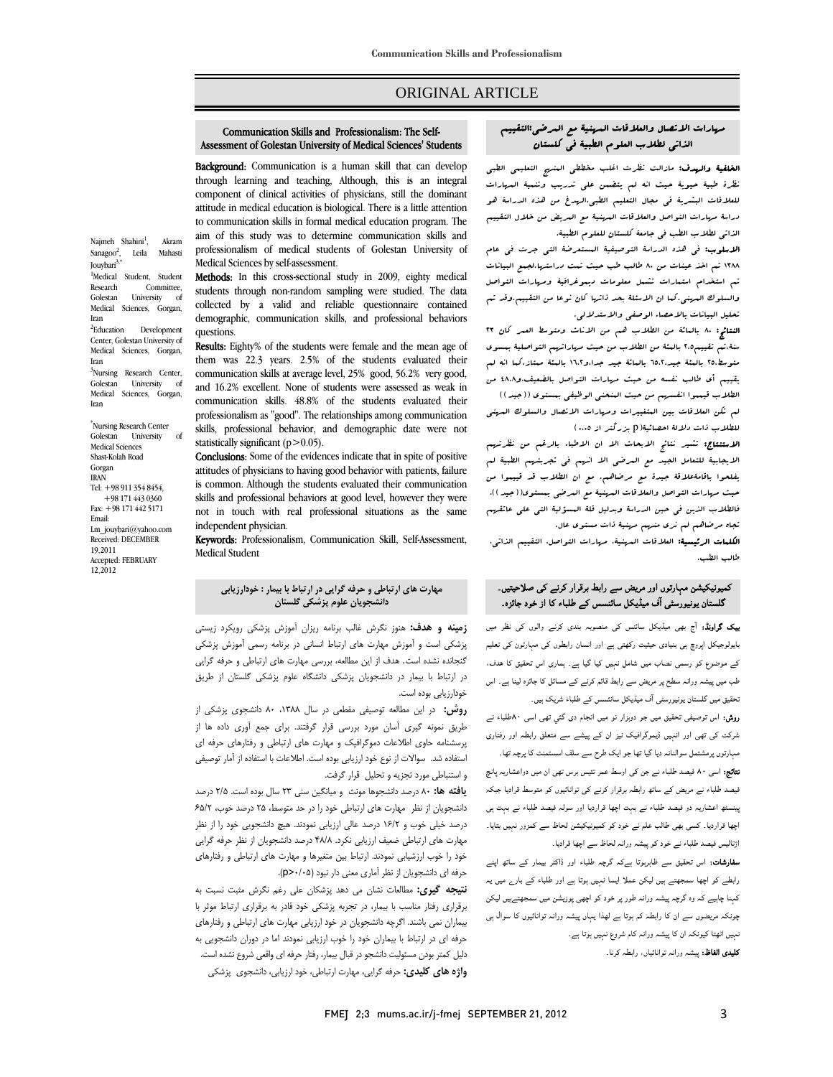# ORIGINAL ARTICLE

#### Assessment of Golestan University of Medical Sciences' Students Communication Skills and Professionalism: The Self-

Ī  $\overline{a}$ 

**Background:** Communication is a human skill that can develop **Example 10** in the communication is a numari skin that can develop component of clinical activities of physicians, still the dominant attitude in medical education is biological. There is a little attention aim of this study was to determine communication skills and professionalism of medical students of Golestan University of to communication skills in formal medical education program. The Medical Sciences by self-assessment.

Medical Sciences by self-assessment.<br>**Methods:** In this cross-sectional study in 2009, eighty medical students through non-random sampling were studied. The data collected by a valid and reliable questionnaire contained demographic, communication skills, and professional behaviors questions.

**Results:** Eighty% of the students were female and the mean age of them was 22.3 years. 2.5% of the students evaluated their communication skills at average level, 25% good, 56.2% very good, communication skills. 48.8% of the students evaluated their professionalism as "good". The relationships among communication skills, professional behavior, and demographic date were not and 16.2% excellent. None of students were assessed as weak in statistically significant (p>0.05).

Conclusions: Some of the evidences indicate that in spite of positive attitudes of physicians to having good behavior with patients, failure is common. Although the students evaluated their communication<br>skills and approximate behaviors at speed layel, however they were not in touch with real professional situations as the same skills and professional behaviors at good level, however they were independent physician.

**Keywords:** Professionalism, Communication Skill, Self-Assessment,<br>Medical Student Medical Student

# **مهارت هاي ارتباطي و حرفه گرايي در ارتباط با بيمار : خودارزيابي دانشجويان علوم پزشكي گلستان**

 **زمينه و هدف:** هنوز نگرش غالب برنامه ريزان آموزش پزشكي رويكرد زيستي پزشكي است و آموزش مهارت هاي ارتباط انساني در برنامه رسمي آموزش پزشكي گنجانده نشده است. هدف از اين مطالعه، بررسي مهارت هاي ارتباطي و حرفه گرايي در ارتباط با بيمار در دانشجويان پزشكي دانشگاه علوم پزشكي گلستان از طريق خودارزيابي بوده است.

 **روش:** در اين مطالعه توصيفي مقطعي در سال ،1388 80 دانشجوي پزشكي از طريق نمونه گيري آسان مورد بررسي قرار گرفتند. براي جمع آوري داده ها از پرسستاسه صوبی اسادهات دسویزابیت و بیهارت سای از بایعی و از سازسان حزبه ای<br>استفاده شد. سوالات از نوع خود ارزیابی بوده است. اطلاعات با استفاده از آمار توصیفی و استنباطي مورد تجزيه و تحليل قرار گرفت. پرسشنامه حاوي اطلاعات دموگرافيك و مهارت هاي ارتباطي و رفتارهاي حرفه اي

 **يافته ها:** 80 درصد دانشجوها مونث و ميانگين سني 23 سال بوده است. 2/5 درصد دانشجويان از نظر مهارت هاي ارتباطي خود را در حد متوسط، 25 درصد خوب، 65/2 درصد خيلي خوب و 16/2 درصد عالي ارزيابي نمودند. هيچ دانشجويي خود را از نظر مهارت هاي ارتباطي ضعيف ارزيابي نكرد. 48/8 درصد دانشجويان از نظر حرفه گرايي خود را خوب ارزشيابي نمودند. ارتباط بين متغيرها و مهارت هاي ارتباطي و رفتارهاي حرفه اي دانشجويان از نظر آماري معني دار نبود (0/05<p(.

 **نتيجه گيري:** مطالعات نشان مي دهد پزشكان علي رغم نگرش مثبت نسبت به برقراري رفتار مناسب با بيمار، در تجربه پزشكي خود قادر به برقراري ارتباط موثر با بيماران نمي باشند. اگرچه دانشجويان در خود ارزيابي مهارت هاي ارتباطي و رفتارهاي حرفه اي در ارتباط با بيماران خود را خوب ارزيابي نمودند اما در دوران دانشجويي به دليل كمتر بودن مسئوليت دانشجو در قبال بيمار، رفتار حرفه اي واقعي شروع نشده است. **واژه هاي كليدي:** حرفه گرايي، مهارت ارتباطي، خود ارزيابي، دانشجوي پزشكي

#### .<br>مهارات الاتصال والعلاقات السهنية مع العرضى:التقييم Ī ٦ الذاتي لطلاب العلوم الطبية في كلستان

Ī  $\overline{a}$ 

**الخلفية والهدف:** مازالت نظرت اغلب مخططى العنسج التعليمى الطبى<br>... للعرب للبيز البيوتية في مجال التعليم البيضيين العليم العليم العليم والمجال السياسي.<br>للعلاقات البشرية في مجال التعليم الطبي،الرس*يغ من* هذه الدراسة هو دراسة مهارات التواصل والعلاقات المهنية مع المريض من خلال التقييم الذاتي لطلاب الطب في جامعة كلستان للعلوم الطبية. نظرة طبية حيوية حيث انه لم يتضمن على تدريب وتنمية المهارات

 الاسلوب: في هذه الدراسة التوصيفية المستعرضة التي جرت في عام ۱۳۸۸ تم اخذ عينات من ۸۰ طالب طب حيث تمت دراستها.لجمع البيانات تم استخدام استمارات تشمل معلومات ديموغرافية ومهارات التواصل والسلوك المهني.كما ان الاسئلة بحد ذاتها كان نوعا من التقييم.وقد تم تحليل البيانات بالاحصاء الوصفي والاستدلالي.

- سين جير من بالا سنة الوسعى والاستوسعى.<br>**النتائج: ٨٠** بالعائة من الطلاب هم من الاناث ومتوسط العمر كان ٢٢ سنة.تم تقييم2،5 بالمئة من الطلاب من حيث مهاراتهم التواصلية بمسوى متوسط.50 بالمئة جيد.٦٥،٢ بالمائة جيد جدا،و١٦،٢ بالمئة ممتاز.كما انه لم يقييم أي طالب نفسه من حيث مهارات التواصل بالضعيف،و48،8 من الطلاب قيمموا انفسهم من حيث المنحنى الوظيفي بمستوى ((جيد)) لم تكن العلاقات بين المتغييرات ومهارات الاتصال والسلوك المهني

للطلاب ذات دلالة احصائية(p بزرگتر از 0،۰۰ )<br>... الايجلسي السير التاج التجاهل التي ان التالية المركب العامل المركب<br>الايجابية للتعامل الجيد مع العرضى الا انهم في تجربتهم الطبية لم يفلحوا باقامةعلاقة جيدة مع مرضاهم. مع ان الطلاب قد قييموا من حيث مهارات التواصل والعلاقات المهنية مع المرضى بمستوى((جيد)). فالطلاب الذين في حين الدراسة وبدليل قلة المسؤلية التي على عاتقهم تجاه مرضاهم لم نري منهم مهنية ذات مستوى عال. الاستنتاج: تشير نتائج الابحاث الا ان الاطباء بالرغم من نظرتهم

**الكلمات الرئيسية:** العلاقات المهنية، مهارات التواصل، التقييم الذاتي، طالب الطب.

# کمیونیکیشن مہارتوں اور مریض سے رابط برقرار کرنے کی صلاحیتیں۔ گلستان یونیورسٹی آف میڈیکل سائنسس کے طلباء کا از خود جائزہ۔

 بیک گراونڈ: آج بھی میڈیکل سائنس کی منصوبہ بندی کرنے والوں کی نظر میں بایولوجیکل اپروچ ہی بنیادی حیثیت رکھتی ہے اور انسان رابطوں کی مہارتون کی تعلیم کے موضوع کو رسمی نصاب میں شامل نہیں کیا گيا ہے۔ ہماری اس تحقیق کا ھدف، طب میں پیشہ ورانہ سطح پر مریض سے رابط قائم کرنے کے مسائل کا جائزہ لینا ہے۔ اس تحقیق میں گلستان یونیورسٹی آف میڈیکل سانئسس کے طلباء شریک ہیں۔ روش: اس توصیفی تحقیق میں جو دوہزار نو میں انجام دی گئي تھی اسی ۸۰طلباء نے شرکت کی تھی اور انہیں ڈیموگرافیک نیز ان کے پیشے سے متعلق رابطہ اور رفتاری مہارتوں پرمشتمل سوالنانہ دیا گيا تھا جو ایک طرح سے سلف اسسٹمنٹ کا پرچہ تھا۔ نتائج: اسی ۸۰ فیصد طلباء نے جن کی اوسط عمر تئيس برس تھی ان میں دواعشاریہ پانچ فیصد طلباء نے مریض کے ساتھ رابطہ برقرار کرنے کی توانائیوں کو متوسط قرادیا جبکہ پینسٹھ اعشاریہ دو فیصد طلباء نے بہت اچھا قراردیا اور سولہ فیصد طلباء نے بہت ہی اچھا قراردیا۔ کسی بھی طالب علم نے خود کو کمیونیکیشن لحاظ سے کمزور نہیں بتایا۔ اڑتالیس فیصد طلباء نے خود کو پیشہ ورانہ لحاظ سے اچھا قرادیا۔

 سفارشات: اس تحقیق سے ظاہرہوتا ہےکہ گرچہ طلباء اور ڈاکٹر بیمار کے ساتھ اپنے رابطے کو اچھا سمجھتے ہیں لیکن عملا ایسا نہیں ہوتا ہے اور طلباء کے بارے میں یہ کہنا چاہیے کہ وہ گرچہ پیشہ ورانہ طور پر خود کو اچھی پوزیشن میں سمجھتےہیں لیکن چونکہ مریضوں سے ان کا رابطہ کم ہوتا ہے لھذا یہاں پیشہ ورانہ توانائیوں کا سوال ہی نہیں اٹھتا کیونکہ ان کا پیشہ ورانہ کام شروع نہیں ہوتا ہے۔

**کلیدی الفاظ:** پیشہ ورانہ توانائیاں، رابطہ کرنا۔

Najmeh Shahini<sup>1</sup>, , Akram Sanagoo $^2$ . , Leila Mahasti Jouybari<sup>3,\*</sup> <sup>1</sup>Medical Student, Student Research Committee,<br>Golestan University of University of Medical Sciences, Gorgan, Iran <sup>2</sup>Education Development Center, Golestan University of Medical Sciences, Gorgan, Iran <sup>3</sup>Nursing Research Center, Golestan University of Medical Sciences, Gorgan, Iran

\* Nursing Research Center Golestan University of Medical Sciences Shast-Kolah Road Gorgan IRAN Tel: +98 911 354 8454, +98 171 443 0360 Fax: +98 171 442 5171 Email: Lm\_jouybari@yahoo.com Received: DECEMBER 19,2011 Accepted: FEBRUARY 12,2012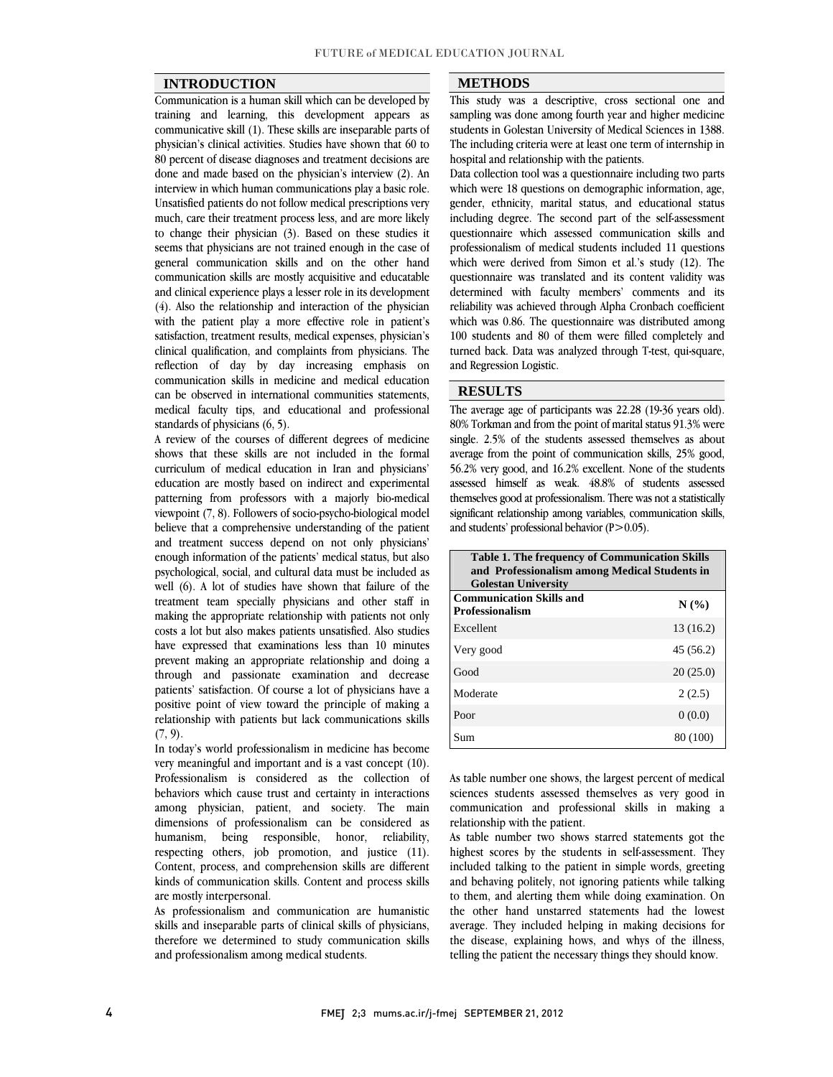### **INTRODUCTION**

 Communication is a human skill which can be developed by training and learning, this development appears as physician's clinical activities. Studies have shown that 60 to 80 percent of disease diagnoses and treatment decisions are done and made based on the physician's interview (2). An interview in which human communications play a basic role. much, care their treatment process less, and are more likely to change their physician  $(3)$ . Based on these studies it seems that physicians are not trained enough in the case of general communication skills and on the other hand and clinical experience plays a lesser role in its development (4). Also the relationship and interaction of the physician with the patient play a more effective role in patient's satisfaction, treatment results, medical expenses, physician's reflection of day by day increasing emphasis on communication skills in medicine and medical education can be observed in international communities statements, medical faculty tips, and educational and professional communicative skill (1). These skills are inseparable parts of Unsatisfied patients do not follow medical prescriptions very communication skills are mostly acquisitive and educatable clinical qualification, and complaints from physicians. The standards of physicians (6, 5).

A review of the courses of different degrees of medicine shows that these skills are not included in the formal curriculum of medical education in Iran and physicians' patterning from professors with a majorly bio-medical viewpoint  $(7, 8)$ . Followers of socio-psycho-biological model believe that a comprehensive understanding of the patient and treatment success depend on not only physicians' psychological, social, and cultural data must be included as well (6). A lot of studies have shown that failure of the treatment team specially physicians and other staff in making the appropriate relationship with patients not only have expressed that examinations less than 10 minutes prevent making an appropriate relationship and doing a through and passionate examination and decrease patients' satisfaction. Of course a lot of physicians have a relationship with patients but lack communications skills education are mostly based on indirect and experimental enough information of the patients' medical status, but also costs a lot but also makes patients unsatisfied. Also studies positive point of view toward the principle of making a  $(7, 9)$ .

 In today's world professionalism in medicine has become very meaningful and important and is a vast concept (10). behaviors which cause trust and certainty in interactions among physician, patient, and society. The main dimensions of professionalism can be considered as respecting others, job promotion, and justice (11). Content, process, and comprehension skills are different kinds of communication skills. Content and process skills Professionalism is considered as the collection of humanism, being responsible, honor, reliability, are mostly interpersonal.

are mostly interpersonal.<br>As professionalism and communication are humanistic skills and inseparable parts of clinical skills of physicians, therefore we determined to study communication skills and professionalism among medical students.

### **METHODS**

 This study was a descriptive, cross sectional one and sampling was done among fourth year and higher medicine The including criteria were at least one term of internship in students in Golestan University of Medical Sciences in 1388. hospital and relationship with the patients.

 Data collection tool was a questionnaire including two parts which were 18 questions on demographic information, age, including degree. The second part of the self-assessment questionnaire which assessed communication skills and professionalism of medical students included 11 questions which were derived from Simon et al.'s study  $(12)$ . The determined with faculty members' comments and its reliability was achieved through Alpha Cronbach coefficient which was 0.86. The questionnaire was distributed among 100 students and 80 of them were filled completely and<br>through looks like the subset of them in the subset of the subsets. turned back. Data was analyzed through T-test, qui-square,<br>and Regression Logistic. gender, ethnicity, marital status, and educational status questionnaire was translated and its content validity was and Regression Logistic.

#### **RESULTS**

 The average age of participants was 22.28 (19-36 years old). File average age of participants was 22.26 (19-50 years old).<br>80% Torkman and from the point of marital status 91.3% were single. 2.5% of the students assessed themselves as about average from the point of communication skills, 25% good, 56.2% very good, and 16.2% excellent. None of the students themselves good at professionalism. There was not a statistically significant relationship among variables, communication skills, assessed himself as weak. 48.8% of students assessed and students' professional behavior  $(P>0.05)$ .

 $\overline{a}$ 

| <b>Table 1. The frequency of Communication Skills</b><br>and Professionalism among Medical Students in<br><b>Golestan University</b> |           |
|--------------------------------------------------------------------------------------------------------------------------------------|-----------|
| <b>Communication Skills and</b><br><b>Professionalism</b>                                                                            | N(%       |
| Excellent                                                                                                                            | 13 (16.2) |
| Very good                                                                                                                            | 45 (56.2) |
| Good                                                                                                                                 | 20(25.0)  |
| Moderate                                                                                                                             | 2(2.5)    |
| Poor                                                                                                                                 | 0(0.0)    |
| Sum                                                                                                                                  | 80 (100)  |
|                                                                                                                                      |           |

 As table number one shows, the largest percent of medical sciences students assessed themselves as very good in communication and professional skills in making a relationship with the patient.

relationship with the patient.<br>As table number two shows starred statements got the highest scores by the students in self-assessment. They included talking to the patient in simple words, greeting and behaving politely, not ignoring patients while talking to them, and alerting them while doing examination. On average. They included helping in making decisions for the disease, explaining hows, and whys of the illness, telling the patient the necessary things they should know. the other hand unstarred statements had the lowest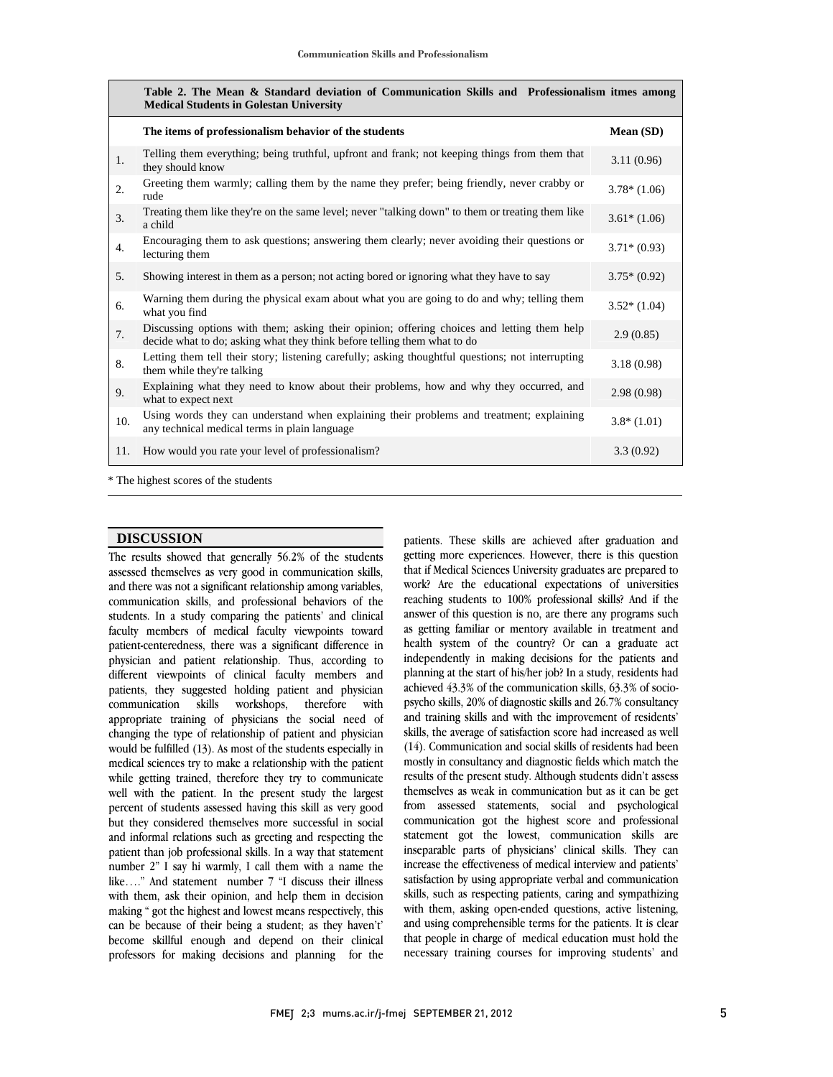|     | Table 2. The Mean & Standard deviation of Communication Skills and Professionalism itmes among<br><b>Medical Students in Golestan University</b>                       |               |
|-----|------------------------------------------------------------------------------------------------------------------------------------------------------------------------|---------------|
|     | The items of professionalism behavior of the students                                                                                                                  | Mean (SD)     |
| 1.  | Telling them everything; being truthful, upfront and frank; not keeping things from them that<br>they should know                                                      | 3.11(0.96)    |
| 2.  | Greeting them warmly; calling them by the name they prefer; being friendly, never crabby or<br>rude                                                                    | $3.78*(1.06)$ |
| 3.  | Treating them like they're on the same level; never "talking down" to them or treating them like<br>a child                                                            | $3.61*(1.06)$ |
| 4.  | Encouraging them to ask questions; answering them clearly; never avoiding their questions or<br>lecturing them                                                         | $3.71*(0.93)$ |
| 5.  | Showing interest in them as a person; not acting bored or ignoring what they have to say                                                                               | $3.75*(0.92)$ |
| 6.  | Warning them during the physical exam about what you are going to do and why; telling them<br>what you find                                                            | $3.52*(1.04)$ |
| 7.  | Discussing options with them; asking their opinion; offering choices and letting them help<br>decide what to do; asking what they think before telling them what to do | 2.9(0.85)     |
| 8.  | Letting them tell their story; listening carefully; asking thoughtful questions; not interrupting<br>them while they're talking                                        | 3.18(0.98)    |
| 9.  | Explaining what they need to know about their problems, how and why they occurred, and<br>what to expect next                                                          | 2.98(0.98)    |
| 10. | Using words they can understand when explaining their problems and treatment; explaining<br>any technical medical terms in plain language                              | $3.8*(1.01)$  |
| 11. | How would you rate your level of professionalism?                                                                                                                      | 3.3(0.92)     |
|     | * The highest scores of the students                                                                                                                                   |               |

 $\overline{a}$ 

1

The highest scores of the students

## **DISCUSSION**

 The results showed that generally 56.2% of the students assessed themselves as very good in communication skills, and there was not a significant relationship among variables, communication skills, and professional behaviors of the students. In a study comparing the patients' and clinical patient-centeredness, there was a significant difference in physician and patient relationship. Thus, according to different viewpoints of clinical faculty members and patients, they suggested holding patient and physician appropriate training of physicians the social need of changing the type of relationship of patient and physician would be fulfilled (13). As most of the students especially in medical sciences try to make a relationship with the patient<br>while getting trained, therefore they try to communicate well with the patient. In the present study the largest percent of students assessed having this skill as very good but they considered themselves more successful in social and informal relations such as greeting and respecting the<br>patient than job professional skills. In a way that statement number 2" I say hi warmly, I call them with a name the like…." And statement number 7 "I discuss their illness with them, ask their opinion, and help them in decision can be because of their being a student; as they haven't' become skillful enough and depend on their clinical professors for making decisions and planning for the faculty members of medical faculty viewpoints toward communication skills workshops, therefore with medical sciences try to make a relationship with the patient and informal relations such as greeting and respecting the making " got the highest and lowest means respectively, this

 patients. These skills are achieved after graduation and pauents. These skins are achieved and graduation and<br>getting more experiences. However, there is this question that if Medical Sciences University graduates are prepared to work? Are the educational expectations of universities reaching students to 100% professional skills? And if the answer or this question is no, are there any programs such<br>as getting familiar or mentory available in treatment and health system of the country? Or can a graduate act independently in making decisions for the patients and planning at the start of his/her job? In a study, residents had psycho skills, 20% of diagnostic skills and 26.7% consultancy and training skills and with the improvement of residents' skills, the average of satisfaction score had increased as well (14). Communication and social skills of residents had been results of the present study. Although students didn't assess themselves as weak in communication but as it can be get from assessed statements, social and psychological communication got the highest score and professional inseparable parts of physicians' clinical skills. They can increase the effectiveness of medical interview and patients' satisfaction by using appropriate verbal and communication with them, asking open-ended questions, active listening, and using comprehensible terms for the patients. It is clear that people in charge of medical education must hold the necessary training courses for improving students' and answer of this question is no, are there any programs such achieved 43.3% of the communication skills, 63.3% of sociomostly in consultancy and diagnostic fields which match the statement got the lowest, communication skills are skills, such as respecting patients, caring and sympathizing

l